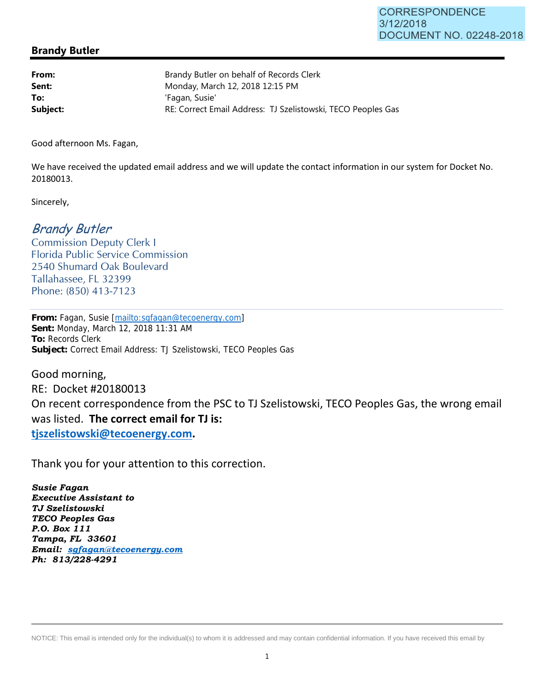## **Brandy Butler**

| From:    | Brandy Butler on behalf of Records Clerk                     |
|----------|--------------------------------------------------------------|
| Sent:    | Monday, March 12, 2018 12:15 PM                              |
| To:      | 'Fagan, Susie'                                               |
| Subject: | RE: Correct Email Address: TJ Szelistowski, TECO Peoples Gas |

Good afternoon Ms. Fagan,

We have received the updated email address and we will update the contact information in our system for Docket No. 20180013.

Sincerely,

## Brandy Butler

Commission Deputy Clerk I Florida Public Service Commission 2540 Shumard Oak Boulevard Tallahassee, FL 32399 Phone: (850) 413-7123

**From:** Fagan, Susie [mailto:sgfagan@tecoenergy.com] **Sent:** Monday, March 12, 2018 11:31 AM **To:** Records Clerk **Subject:** Correct Email Address: TJ Szelistowski, TECO Peoples Gas

Good morning, RE: Docket #20180013 On recent correspondence from the PSC to TJ Szelistowski, TECO Peoples Gas, the wrong email was listed. **The correct email for TJ is: tjszelistowski@tecoenergy.com.** 

Thank you for your attention to this correction.

*Susie Fagan Executive Assistant to TJ Szelistowski TECO Peoples Gas P.O. Box 111 Tampa, FL 33601 Email: sgfagan@tecoenergy.com Ph: 813/228-4291* 

NOTICE: This email is intended only for the individual(s) to whom it is addressed and may contain confidential information. If you have received this email by